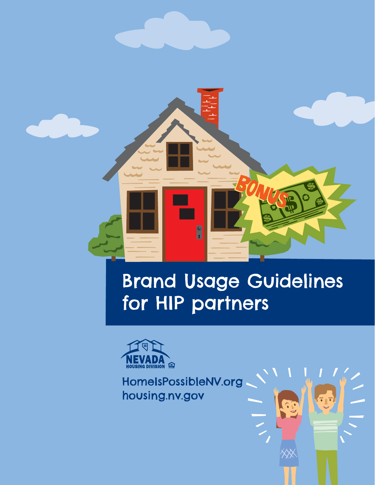

# Brand Usage Guidelines for HIP partners



HomeIsPossibleNV.org housing.nv.gov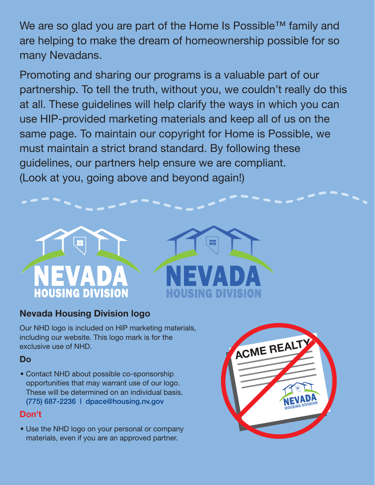We are so glad you are part of the Home Is Possible™ family and are helping to make the dream of homeownership possible for so many Nevadans.

Promoting and sharing our programs is a valuable part of our partnership. To tell the truth, without you, we couldn't really do this at all. These guidelines will help clarify the ways in which you can use HIP-provided marketing materials and keep all of us on the same page. To maintain our copyright for Home is Possible, we must maintain a strict brand standard. By following these guidelines, our partners help ensure we are compliant. (Look at you, going above and beyond again!)





## **Nevada Housing Division logo**

Our NHD logo is included on HIP marketing materials, including our website. This logo mark is for the exclusive use of NHD.

#### **Do**

• Contact NHD about possible co-sponsorship opportunities that may warrant use of our logo. These will be determined on an individual basis. (775) 687-2236 | dpace@housing.nv.gov

#### **Don't**

• Use the NHD logo on your personal or company materials, even if you are an approved partner.